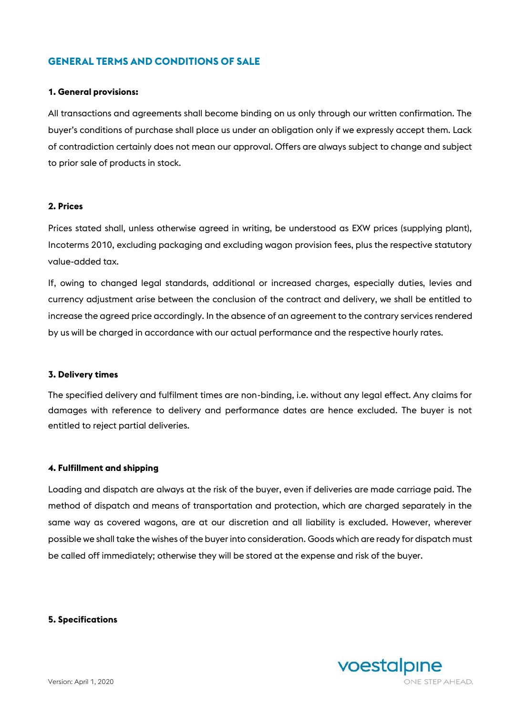# **GENERAL TERMS AND CONDITIONS OF SALE**

## **1. General provisions:**

All transactions and agreements shall become binding on us only through our written confirmation. The buyer's conditions of purchase shall place us under an obligation only if we expressly accept them. Lack of contradiction certainly does not mean our approval. Offers are always subject to change and subject to prior sale of products in stock.

#### **2. Prices**

Prices stated shall, unless otherwise agreed in writing, be understood as EXW prices (supplying plant), Incoterms 2010, excluding packaging and excluding wagon provision fees, plus the respective statutory value-added tax.

If, owing to changed legal standards, additional or increased charges, especially duties, levies and currency adjustment arise between the conclusion of the contract and delivery, we shall be entitled to increase the agreed price accordingly. In the absence of an agreement to the contrary services rendered by us will be charged in accordance with our actual performance and the respective hourly rates.

#### **3. Delivery times**

The specified delivery and fulfilment times are non-binding, i.e. without any legal effect. Any claims for damages with reference to delivery and performance dates are hence excluded. The buyer is not entitled to reject partial deliveries.

#### **4. Fulfillment and shipping**

Loading and dispatch are always at the risk of the buyer, even if deliveries are made carriage paid. The method of dispatch and means of transportation and protection, which are charged separately in the same way as covered wagons, are at our discretion and all liability is excluded. However, wherever possible we shall take the wishes of the buyer into consideration. Goods which are ready for dispatch must be called off immediately; otherwise they will be stored at the expense and risk of the buyer.

**5. Specifications**

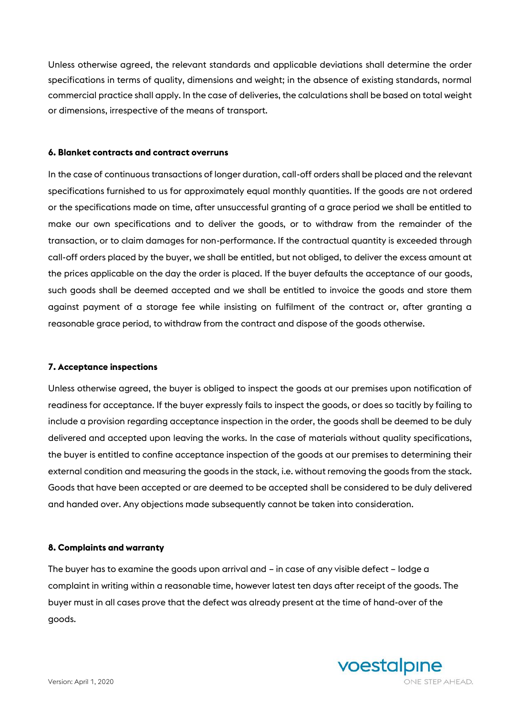Unless otherwise agreed, the relevant standards and applicable deviations shall determine the order specifications in terms of quality, dimensions and weight; in the absence of existing standards, normal commercial practice shall apply. In the case of deliveries, the calculations shall be based on total weight or dimensions, irrespective of the means of transport.

## **6. Blanket contracts and contract overruns**

In the case of continuous transactions of longer duration, call-off orders shall be placed and the relevant specifications furnished to us for approximately equal monthly quantities. If the goods are not ordered or the specifications made on time, after unsuccessful granting of a grace period we shall be entitled to make our own specifications and to deliver the goods, or to withdraw from the remainder of the transaction, or to claim damages for non-performance. If the contractual quantity is exceeded through call-off orders placed by the buyer, we shall be entitled, but not obliged, to deliver the excess amount at the prices applicable on the day the order is placed. If the buyer defaults the acceptance of our goods, such goods shall be deemed accepted and we shall be entitled to invoice the goods and store them against payment of a storage fee while insisting on fulfilment of the contract or, after granting a reasonable grace period, to withdraw from the contract and dispose of the goods otherwise.

## **7. Acceptance inspections**

Unless otherwise agreed, the buyer is obliged to inspect the goods at our premises upon notification of readiness for acceptance. If the buyer expressly fails to inspect the goods, or does so tacitly by failing to include a provision regarding acceptance inspection in the order, the goods shall be deemed to be duly delivered and accepted upon leaving the works. In the case of materials without quality specifications, the buyer is entitled to confine acceptance inspection of the goods at our premises to determining their external condition and measuring the goods in the stack, i.e. without removing the goods from the stack. Goods that have been accepted or are deemed to be accepted shall be considered to be duly delivered and handed over. Any objections made subsequently cannot be taken into consideration.

## **8. Complaints and warranty**

The buyer has to examine the goods upon arrival and – in case of any visible defect – lodge a complaint in writing within a reasonable time, however latest ten days after receipt of the goods. The buyer must in all cases prove that the defect was already present at the time of hand-over of the goods.

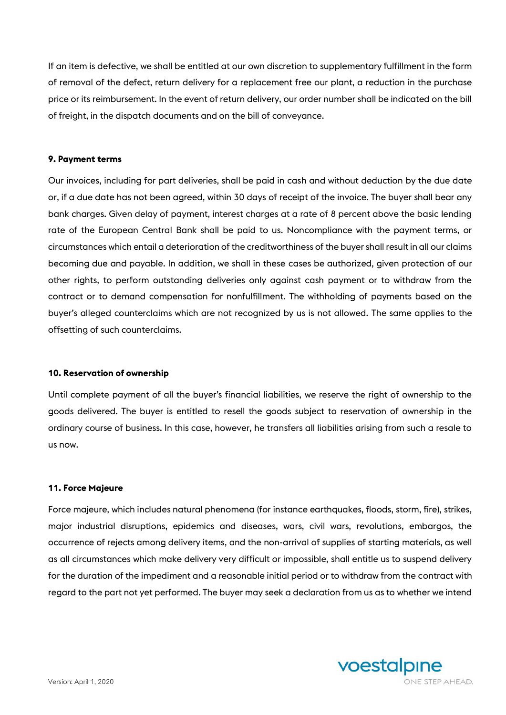If an item is defective, we shall be entitled at our own discretion to supplementary fulfillment in the form of removal of the defect, return delivery for a replacement free our plant, a reduction in the purchase price or its reimbursement. In the event of return delivery, our order number shall be indicated on the bill of freight, in the dispatch documents and on the bill of conveyance.

## **9. Payment terms**

Our invoices, including for part deliveries, shall be paid in cash and without deduction by the due date or, if a due date has not been agreed, within 30 days of receipt of the invoice. The buyer shall bear any bank charges. Given delay of payment, interest charges at a rate of 8 percent above the basic lending rate of the European Central Bank shall be paid to us. Noncompliance with the payment terms, or circumstances which entail a deterioration of the creditworthiness of the buyer shall result in all our claims becoming due and payable. In addition, we shall in these cases be authorized, given protection of our other rights, to perform outstanding deliveries only against cash payment or to withdraw from the contract or to demand compensation for nonfulfillment. The withholding of payments based on the buyer's alleged counterclaims which are not recognized by us is not allowed. The same applies to the offsetting of such counterclaims.

## **10. Reservation of ownership**

Until complete payment of all the buyer's financial liabilities, we reserve the right of ownership to the goods delivered. The buyer is entitled to resell the goods subject to reservation of ownership in the ordinary course of business. In this case, however, he transfers all liabilities arising from such a resale to us now.

## **11. Force Majeure**

Force majeure, which includes natural phenomena (for instance earthquakes, floods, storm, fire), strikes, major industrial disruptions, epidemics and diseases, wars, civil wars, revolutions, embargos, the occurrence of rejects among delivery items, and the non-arrival of supplies of starting materials, as well as all circumstances which make delivery very difficult or impossible, shall entitle us to suspend delivery for the duration of the impediment and a reasonable initial period or to withdraw from the contract with regard to the part not yet performed. The buyer may seek a declaration from us as to whether we intend

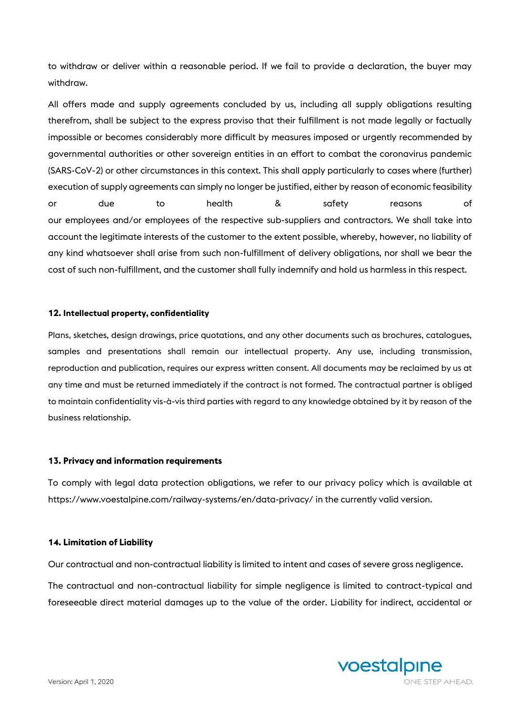to withdraw or deliver within a reasonable period. If we fail to provide a declaration, the buyer may withdraw.

All offers made and supply agreements concluded by us, including all supply obligations resulting therefrom, shall be subject to the express proviso that their fulfillment is not made legally or factually impossible or becomes considerably more difficult by measures imposed or urgently recommended by governmental authorities or other sovereign entities in an effort to combat the coronavirus pandemic (SARS-CoV-2) or other circumstances in this context. This shall apply particularly to cases where (further) execution of supply agreements can simply no longer be justified, either by reason of economic feasibility or due to health & safety reasons of our employees and/or employees of the respective sub-suppliers and contractors. We shall take into account the legitimate interests of the customer to the extent possible, whereby, however, no liability of any kind whatsoever shall arise from such non-fulfillment of delivery obligations, nor shall we bear the cost of such non-fulfillment, and the customer shall fully indemnify and hold us harmless in this respect.

## **12. Intellectual property, confidentiality**

Plans, sketches, design drawings, price quotations, and any other documents such as brochures, catalogues, samples and presentations shall remain our intellectual property. Any use, including transmission, reproduction and publication, requires our express written consent. All documents may be reclaimed by us at any time and must be returned immediately if the contract is not formed. The contractual partner is obliged to maintain confidentiality vis-à-vis third parties with regard to any knowledge obtained by it by reason of the business relationship.

## **13. Privacy and information requirements**

To comply with legal data protection obligations, we refer to our privacy policy which is available at <https://www.voestalpine.com/railway-systems/en/data-privacy/> in the currently valid version.

#### **14. Limitation of Liability**

Our contractual and non-contractual liability is limited to intent and cases of severe gross negligence.

The contractual and non-contractual liability for simple negligence is limited to contract-typical and foreseeable direct material damages up to the value of the order. Liability for indirect, accidental or

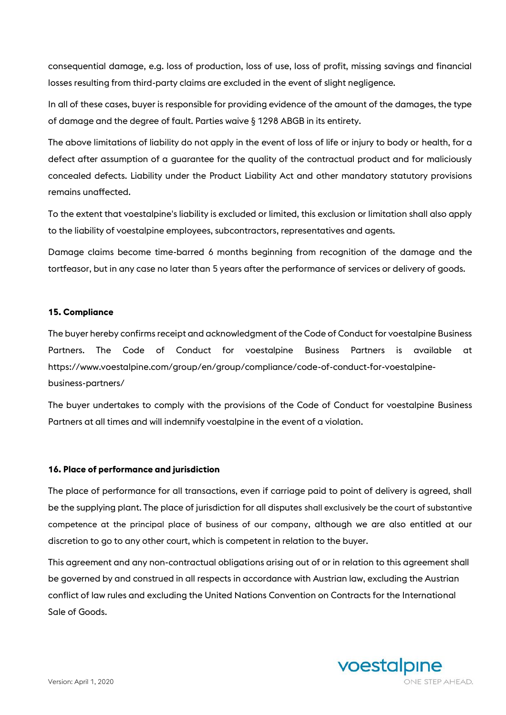consequential damage, e.g. loss of production, loss of use, loss of profit, missing savings and financial losses resulting from third-party claims are excluded in the event of slight negligence.

In all of these cases, buyer is responsible for providing evidence of the amount of the damages, the type of damage and the degree of fault. Parties waive § 1298 ABGB in its entirety.

The above limitations of liability do not apply in the event of loss of life or injury to body or health, for a defect after assumption of a guarantee for the quality of the contractual product and for maliciously concealed defects. Liability under the Product Liability Act and other mandatory statutory provisions remains unaffected.

To the extent that voestalpine's liability is excluded or limited, this exclusion or limitation shall also apply to the liability of voestalpine employees, subcontractors, representatives and agents.

Damage claims become time-barred 6 months beginning from recognition of the damage and the tortfeasor, but in any case no later than 5 years after the performance of services or delivery of goods.

## **15. Compliance**

The buyer hereby confirms receipt and acknowledgment of the Code of Conduct for voestalpine Business Partners. The Code of Conduct for voestalpine Business Partners is available at [https://www.voestalpine.com/group/en/group/compliance/code-of-conduct-for-voestalpine](https://www.voestalpine.com/group/en/group/compliance/code-of-conduct-for-voestalpine-business-partners/)[business-partners/](https://www.voestalpine.com/group/en/group/compliance/code-of-conduct-for-voestalpine-business-partners/)

The buyer undertakes to comply with the provisions of the Code of Conduct for voestalpine Business Partners at all times and will indemnify voestalpine in the event of a violation.

## **16. Place of performance and jurisdiction**

The place of performance for all transactions, even if carriage paid to point of delivery is agreed, shall be the supplying plant. The place of jurisdiction for all disputes shall exclusively be the court of substantive competence at the principal place of business of our company, although we are also entitled at our discretion to go to any other court, which is competent in relation to the buyer.

This agreement and any non-contractual obligations arising out of or in relation to this agreement shall be governed by and construed in all respects in accordance with Austrian law, excluding the Austrian conflict of law rules and excluding the United Nations Convention on Contracts for the International Sale of Goods.